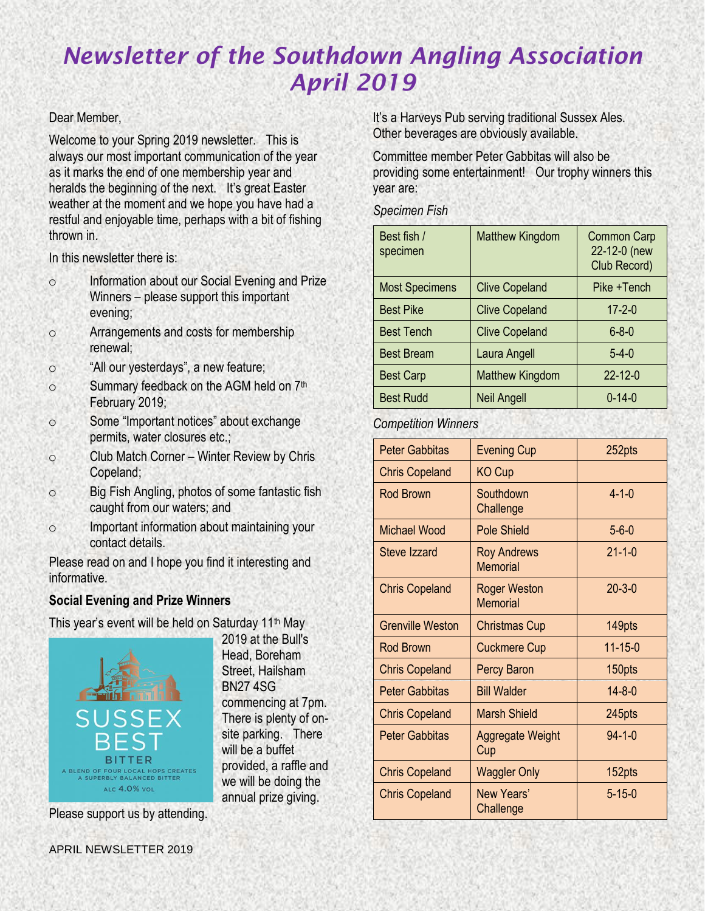#### Dear Member,

Welcome to your Spring 2019 newsletter. This is always our most important communication of the year as it marks the end of one membership year and heralds the beginning of the next. It's great Easter weather at the moment and we hope you have had a restful and enjoyable time, perhaps with a bit of fishing thrown in.

In this newsletter there is:

- o Information about our Social Evening and Prize Winners – please support this important evening;
- o Arrangements and costs for membership renewal;
- o "All our yesterdays", a new feature;
- o Summary feedback on the AGM held on 7<sup>th</sup> February 2019;
- o Some "Important notices" about exchange permits, water closures etc.;
- o Club Match Corner Winter Review by Chris Copeland;
- o Big Fish Angling, photos of some fantastic fish caught from our waters; and
- o Important information about maintaining your contact details.

Please read on and I hope you find it interesting and informative.

# **Social Evening and Prize Winners**

This year's event will be held on Saturday 11<sup>th</sup> May



2019 at the Bull's Head, Boreham Street, Hailsham BN27 4SG commencing at 7pm. There is plenty of onsite parking. There will be a buffet provided, a raffle and we will be doing the annual prize giving.

Please support us by attending.

It's a Harveys Pub serving traditional Sussex Ales. Other beverages are obviously available.

Committee member Peter Gabbitas will also be providing some entertainment! Our trophy winners this year are:

*Specimen Fish*

| Best fish /<br>specimen | <b>Matthew Kingdom</b> | <b>Common Carp</b><br>22-12-0 (new<br>Club Record) |
|-------------------------|------------------------|----------------------------------------------------|
| <b>Most Specimens</b>   | <b>Clive Copeland</b>  | Pike +Tench                                        |
| <b>Best Pike</b>        | <b>Clive Copeland</b>  | $17 - 2 - 0$                                       |
| <b>Best Tench</b>       | <b>Clive Copeland</b>  | $6 - 8 - 0$                                        |
| <b>Best Bream</b>       | Laura Angell           | $5-4-0$                                            |
| <b>Best Carp</b>        | <b>Matthew Kingdom</b> | $22 - 12 - 0$                                      |
| <b>Best Rudd</b>        | <b>Neil Angell</b>     | $0 - 14 - 0$                                       |

# *Competition Winners*

| <b>Peter Gabbitas</b>   | <b>Evening Cup</b>                     | 252pts        |  |
|-------------------------|----------------------------------------|---------------|--|
| <b>Chris Copeland</b>   | <b>KO Cup</b>                          |               |  |
| <b>Rod Brown</b>        | Southdown<br>Challenge                 | $4 - 1 - 0$   |  |
| Michael Wood            | <b>Pole Shield</b>                     | $5 - 6 - 0$   |  |
| Steve Izzard            | <b>Roy Andrews</b><br><b>Memorial</b>  | $21 - 1 - 0$  |  |
| <b>Chris Copeland</b>   | <b>Roger Weston</b><br><b>Memorial</b> | $20 - 3 - 0$  |  |
| <b>Grenville Weston</b> | <b>Christmas Cup</b>                   | 149pts        |  |
| <b>Rod Brown</b>        | <b>Cuckmere Cup</b>                    | $11 - 15 - 0$ |  |
| <b>Chris Copeland</b>   | <b>Percy Baron</b>                     | 150pts        |  |
| Peter Gabbitas          | <b>Bill Walder</b>                     | $14 - 8 - 0$  |  |
| <b>Chris Copeland</b>   | Marsh Shield                           | 245pts        |  |
| <b>Peter Gabbitas</b>   | Aggregate Weight<br>Cup                | $94 - 1 - 0$  |  |
| <b>Chris Copeland</b>   | <b>Waggler Only</b>                    | 152pts        |  |
| <b>Chris Copeland</b>   | New Years'<br>Challenge                | $5 - 15 - 0$  |  |

APRIL NEWSLETTER 2019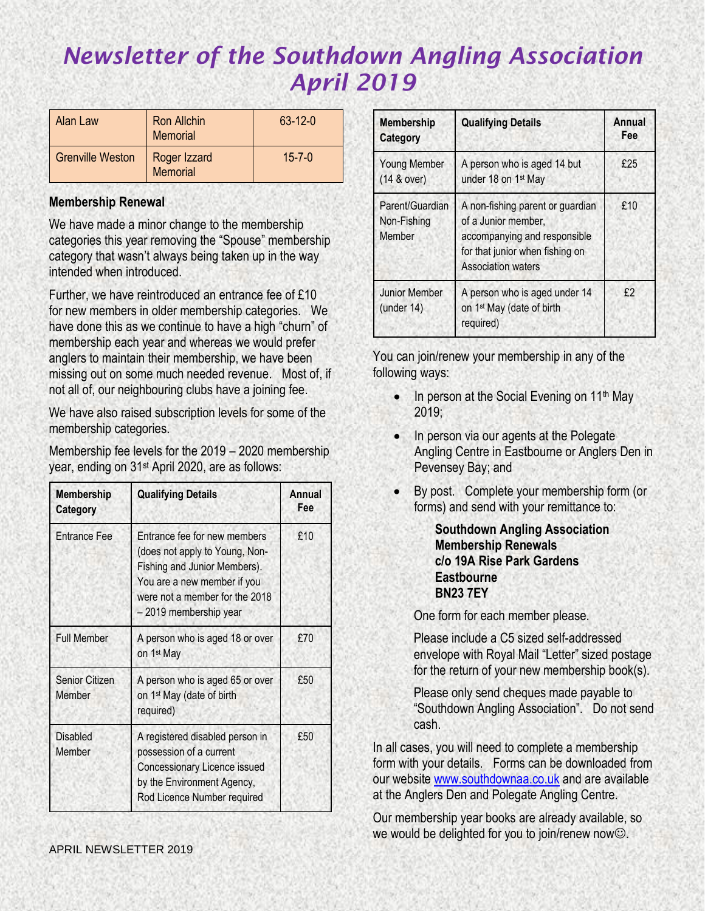| Alan Law                | <b>Ron Allchin</b><br><b>Memorial</b> | $63 - 12 - 0$ |
|-------------------------|---------------------------------------|---------------|
| <b>Grenville Weston</b> | Roger Izzard<br>Memorial              | $15 - 7 - 0$  |

#### **Membership Renewal**

We have made a minor change to the membership categories this year removing the "Spouse" membership category that wasn't always being taken up in the way intended when introduced.

Further, we have reintroduced an entrance fee of £10 for new members in older membership categories. We have done this as we continue to have a high "churn" of membership each year and whereas we would prefer anglers to maintain their membership, we have been missing out on some much needed revenue. Most of, if not all of, our neighbouring clubs have a joining fee.

We have also raised subscription levels for some of the membership categories.

Membership fee levels for the 2019 – 2020 membership year, ending on 31st April 2020, are as follows:

| <b>Membership</b><br>Category   | <b>Qualifying Details</b>                                                                                                                                                                 | Annual<br>Fee |
|---------------------------------|-------------------------------------------------------------------------------------------------------------------------------------------------------------------------------------------|---------------|
| <b>Entrance Fee</b>             | Entrance fee for new members<br>(does not apply to Young, Non-<br>Fishing and Junior Members).<br>You are a new member if you<br>were not a member for the 2018<br>- 2019 membership year | £10           |
| <b>Full Member</b>              | A person who is aged 18 or over<br>on 1 <sup>st</sup> May                                                                                                                                 | £70           |
| <b>Senior Citizen</b><br>Member | A person who is aged 65 or over<br>on 1 <sup>st</sup> May (date of birth<br>required)                                                                                                     | £50           |
| <b>Disabled</b><br>Member       | A registered disabled person in<br>possession of a current<br>Concessionary Licence issued<br>by the Environment Agency,<br>Rod Licence Number required                                   | £50           |

| <b>Membership</b><br>Category            | <b>Qualifying Details</b>                                                                                                                               | Annual<br>Fee |
|------------------------------------------|---------------------------------------------------------------------------------------------------------------------------------------------------------|---------------|
| <b>Young Member</b><br>$(14 &$ over)     | A person who is aged 14 but<br>under 18 on 1 <sup>st</sup> May                                                                                          | £25           |
| Parent/Guardian<br>Non-Fishing<br>Member | A non-fishing parent or guardian<br>of a Junior member,<br>accompanying and responsible<br>for that junior when fishing on<br><b>Association waters</b> | £10           |
| <b>Junior Member</b><br>$($ under 14 $)$ | A person who is aged under 14<br>on 1 <sup>st</sup> May (date of birth<br>required)                                                                     | £?            |

You can join/renew your membership in any of the following ways:

- In person at the Social Evening on  $11<sup>th</sup>$  May 2019;
- In person via our agents at the Polegate Angling Centre in Eastbourne or Anglers Den in Pevensey Bay; and
- By post. Complete your membership form (or forms) and send with your remittance to:

**Southdown Angling Association Membership Renewals c/o 19A Rise Park Gardens Eastbourne BN23 7EY**

One form for each member please.

Please include a C5 sized self-addressed envelope with Royal Mail "Letter" sized postage for the return of your new membership book(s).

Please only send cheques made payable to "Southdown Angling Association". Do not send cash.

In all cases, you will need to complete a membership form with your details. Forms can be downloaded from our website [www.southdownaa.co.uk](http://www.southdownaa.co.uk/) and are available at the Anglers Den and Polegate Angling Centre.

Our membership year books are already available, so we would be delighted for you to join/renew now☺.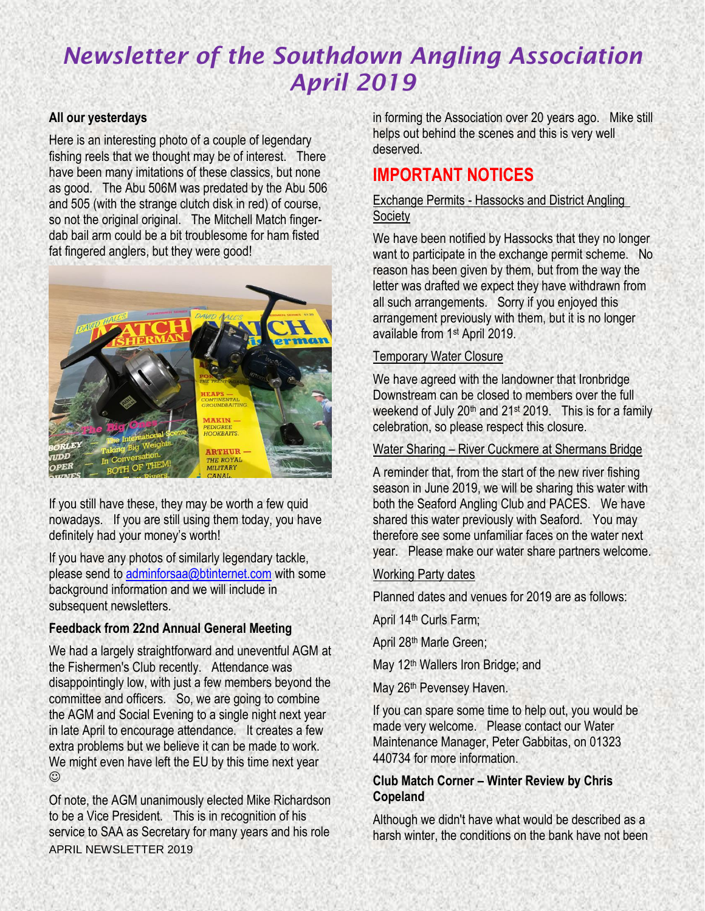### **All our yesterdays**

Here is an interesting photo of a couple of legendary fishing reels that we thought may be of interest. There have been many imitations of these classics, but none as good. The Abu 506M was predated by the Abu 506 and 505 (with the strange clutch disk in red) of course, so not the original original. The Mitchell Match fingerdab bail arm could be a bit troublesome for ham fisted fat fingered anglers, but they were good!



If you still have these, they may be worth a few quid nowadays. If you are still using them today, you have definitely had your money's worth!

If you have any photos of similarly legendary tackle, please send to [adminforsaa@btinternet.com](mailto:adminforsaa@btinternet.com) with some background information and we will include in subsequent newsletters.

# **Feedback from 22nd Annual General Meeting**

We had a largely straightforward and uneventful AGM at the Fishermen's Club recently. Attendance was disappointingly low, with just a few members beyond the committee and officers. So, we are going to combine the AGM and Social Evening to a single night next year in late April to encourage attendance. It creates a few extra problems but we believe it can be made to work. We might even have left the EU by this time next year ☺

APRIL NEWSLETTER 2019 Of note, the AGM unanimously elected Mike Richardson to be a Vice President. This is in recognition of his service to SAA as Secretary for many years and his role

in forming the Association over 20 years ago. Mike still helps out behind the scenes and this is very well deserved.

# **IMPORTANT NOTICES**

#### Exchange Permits - Hassocks and District Angling **Society**

We have been notified by Hassocks that they no longer want to participate in the exchange permit scheme. No reason has been given by them, but from the way the letter was drafted we expect they have withdrawn from all such arrangements. Sorry if you enjoyed this arrangement previously with them, but it is no longer available from 1st April 2019.

# Temporary Water Closure

We have agreed with the landowner that Ironbridge Downstream can be closed to members over the full weekend of July  $20<sup>th</sup>$  and  $21<sup>st</sup>$  2019. This is for a family celebration, so please respect this closure.

#### Water Sharing – River Cuckmere at Shermans Bridge

A reminder that, from the start of the new river fishing season in June 2019, we will be sharing this water with both the Seaford Angling Club and PACES. We have shared this water previously with Seaford. You may therefore see some unfamiliar faces on the water next year. Please make our water share partners welcome.

# Working Party dates

Planned dates and venues for 2019 are as follows:

April 14<sup>th</sup> Curls Farm;

April 28th Marle Green;

May 12<sup>th</sup> Wallers Iron Bridge; and

May 26<sup>th</sup> Pevensey Haven.

If you can spare some time to help out, you would be made very welcome. Please contact our Water Maintenance Manager, Peter Gabbitas, on 01323 440734 for more information.

#### **Club Match Corner – Winter Review by Chris Copeland**

Although we didn't have what would be described as a harsh winter, the conditions on the bank have not been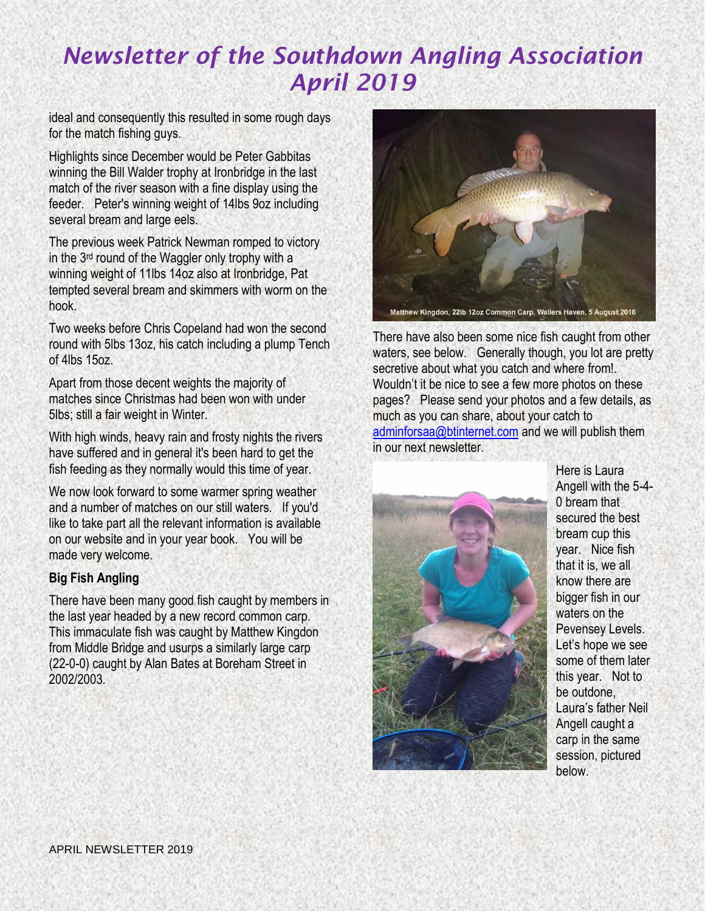ideal and consequently this resulted in some rough days for the match fishing guys.

Highlights since December would be Peter Gabbitas winning the Bill Walder trophy at Ironbridge in the last match of the river season with a fine display using the feeder. Peter's winning weight of 14lbs 9oz including several bream and large eels.

The previous week Patrick Newman romped to victory in the 3rd round of the Waggler only trophy with a winning weight of 11lbs 14oz also at Ironbridge, Pat tempted several bream and skimmers with worm on the hook.

Two weeks before Chris Copeland had won the second round with 5lbs 13oz, his catch including a plump Tench of 4lbs 15oz.

Apart from those decent weights the majority of matches since Christmas had been won with under 5lbs; still a fair weight in Winter.

With high winds, heavy rain and frosty nights the rivers have suffered and in general it's been hard to get the fish feeding as they normally would this time of year.

We now look forward to some warmer spring weather and a number of matches on our still waters. If you'd like to take part all the relevant information is available on our website and in your year book. You will be made very welcome.

# **Big Fish Angling**

There have been many good fish caught by members in the last year headed by a new record common carp. This immaculate fish was caught by Matthew Kingdon from Middle Bridge and usurps a similarly large carp (22-0-0) caught by Alan Bates at Boreham Street in 2002/2003.



There have also been some nice fish caught from other waters, see below. Generally though, you lot are pretty secretive about what you catch and where from!. Wouldn't it be nice to see a few more photos on these pages? Please send your photos and a few details, as much as you can share, about your catch to [adminforsaa@btinternet.com](mailto:adminforsaa@btinternet.com) and we will publish them in our next newsletter.



Here is Laura Angell with the 5-4- 0 bream that secured the best bream cup this year. Nice fish that it is, we all know there are bigger fish in our waters on the Pevensey Levels. Let's hope we see some of them later this year. Not to be outdone, Laura's father Neil Angell caught a carp in the same session, pictured below.